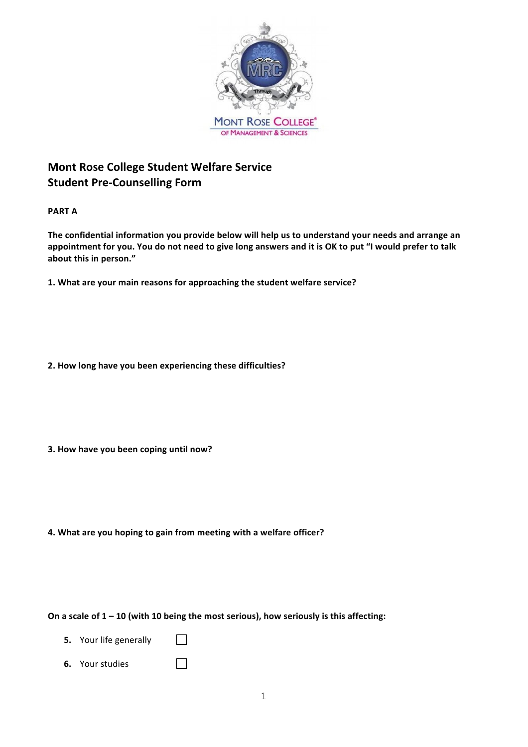

# **Mont Rose College Student Welfare Service Student Pre-Counselling Form**

**PART A**

The confidential information you provide below will help us to understand your needs and arrange an appointment for you. You do not need to give long answers and it is OK to put "I would prefer to talk about this in person."

**1. What are your main reasons for approaching the student welfare service?**

**2. How long have you been experiencing these difficulties?**

**3. How have you been coping until now?** 

**4. What are you hoping to gain from meeting with a welfare officer?**

On a scale of  $1 - 10$  (with 10 being the most serious), how seriously is this affecting:

- **5.** Your life generally  $\Box$
- **6.** Your studies  $\Box$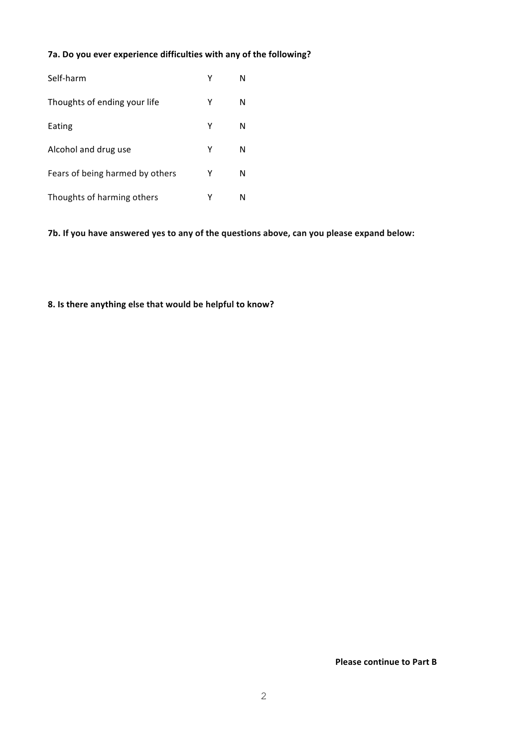# 7a. Do you ever experience difficulties with any of the following?

| Self-harm                       | Υ | N |
|---------------------------------|---|---|
| Thoughts of ending your life    | Υ | N |
| Eating                          | Y | N |
| Alcohol and drug use            | Υ | N |
| Fears of being harmed by others | Υ | N |
| Thoughts of harming others      | Υ | N |

7b. If you have answered yes to any of the questions above, can you please expand below:

#### **8. Is there anything else that would be helpful to know?**

**Please continue to Part B**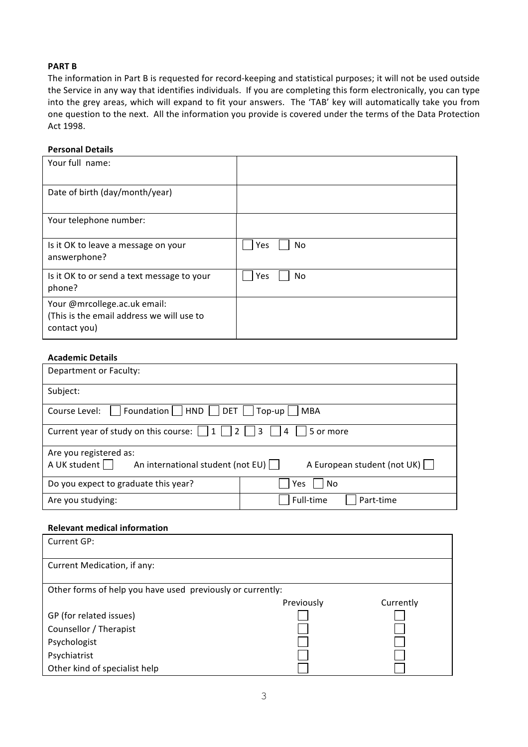# **PART B**

The information in Part B is requested for record-keeping and statistical purposes; it will not be used outside the Service in any way that identifies individuals. If you are completing this form electronically, you can type into the grey areas, which will expand to fit your answers. The 'TAB' key will automatically take you from one question to the next. All the information you provide is covered under the terms of the Data Protection Act 1998. 

#### **Personal Details**

| Your full name:                                                                           |                  |
|-------------------------------------------------------------------------------------------|------------------|
| Date of birth (day/month/year)                                                            |                  |
| Your telephone number:                                                                    |                  |
| Is it OK to leave a message on your<br>answerphone?                                       | Yes<br><b>No</b> |
| Is it OK to or send a text message to your<br>phone?                                      | Yes<br>No        |
| Your @mrcollege.ac.uk email:<br>(This is the email address we will use to<br>contact you) |                  |

## **Academic Details**

| Department or Faculty:                                         |                                     |  |  |  |  |  |
|----------------------------------------------------------------|-------------------------------------|--|--|--|--|--|
| Subject:                                                       |                                     |  |  |  |  |  |
| Foundation     HND     DET     Top-up     MBA<br>Course Level: |                                     |  |  |  |  |  |
| $\vert$ 4<br>5 or more                                         |                                     |  |  |  |  |  |
| Are you registered as:                                         |                                     |  |  |  |  |  |
| A UK student $\Box$ An international student (not EU) $\Box$   | A European student (not UK) $\vert$ |  |  |  |  |  |
| Do you expect to graduate this year?                           | Yes<br>No                           |  |  |  |  |  |
| Are you studying:                                              | Full-time<br>Part-time              |  |  |  |  |  |

#### **Relevant medical information**

| Current GP:                                                |            |           |  |  |  |  |
|------------------------------------------------------------|------------|-----------|--|--|--|--|
|                                                            |            |           |  |  |  |  |
| Current Medication, if any:                                |            |           |  |  |  |  |
|                                                            |            |           |  |  |  |  |
| Other forms of help you have used previously or currently: |            |           |  |  |  |  |
|                                                            | Previously | Currently |  |  |  |  |
| GP (for related issues)                                    |            |           |  |  |  |  |
| Counsellor / Therapist                                     |            |           |  |  |  |  |
| Psychologist                                               |            |           |  |  |  |  |
| Psychiatrist                                               |            |           |  |  |  |  |
| Other kind of specialist help                              |            |           |  |  |  |  |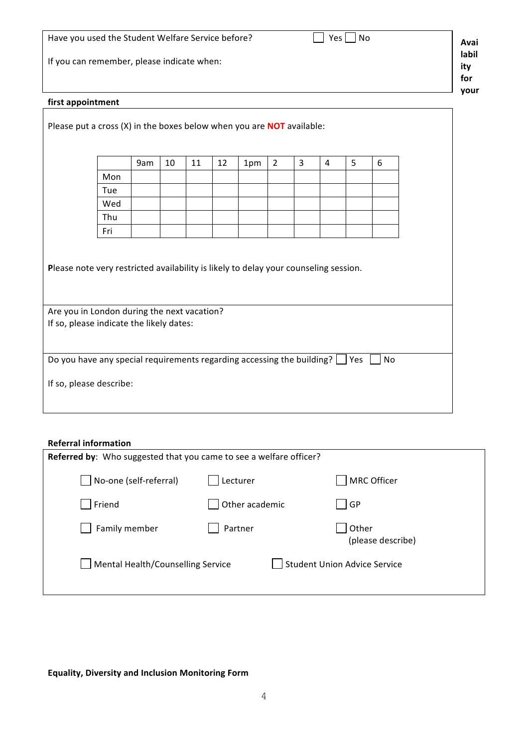|                                                                                |                                                                                         | Have you used the Student Welfare Service before?<br>No<br>Yes |    |    |    |     |                |   | Avai           |   |    |  |             |
|--------------------------------------------------------------------------------|-----------------------------------------------------------------------------------------|----------------------------------------------------------------|----|----|----|-----|----------------|---|----------------|---|----|--|-------------|
|                                                                                | If you can remember, please indicate when:                                              |                                                                |    |    |    |     |                |   | labil<br>ity   |   |    |  |             |
|                                                                                |                                                                                         |                                                                |    |    |    |     |                |   |                |   |    |  | for<br>your |
| first appointment                                                              |                                                                                         |                                                                |    |    |    |     |                |   |                |   |    |  |             |
| Please put a cross $(X)$ in the boxes below when you are <b>NOT</b> available: |                                                                                         |                                                                |    |    |    |     |                |   |                |   |    |  |             |
|                                                                                |                                                                                         |                                                                |    |    |    |     |                |   |                |   |    |  |             |
|                                                                                |                                                                                         | 9am                                                            | 10 | 11 | 12 |     | $\overline{2}$ | 3 | $\overline{4}$ | 5 | 6  |  |             |
|                                                                                | Mon                                                                                     |                                                                |    |    |    | 1pm |                |   |                |   |    |  |             |
|                                                                                | Tue                                                                                     |                                                                |    |    |    |     |                |   |                |   |    |  |             |
|                                                                                | Wed                                                                                     |                                                                |    |    |    |     |                |   |                |   |    |  |             |
|                                                                                | Thu                                                                                     |                                                                |    |    |    |     |                |   |                |   |    |  |             |
|                                                                                | Fri                                                                                     |                                                                |    |    |    |     |                |   |                |   |    |  |             |
|                                                                                |                                                                                         |                                                                |    |    |    |     |                |   |                |   |    |  |             |
|                                                                                |                                                                                         |                                                                |    |    |    |     |                |   |                |   |    |  |             |
|                                                                                | Please note very restricted availability is likely to delay your counseling session.    |                                                                |    |    |    |     |                |   |                |   |    |  |             |
|                                                                                |                                                                                         |                                                                |    |    |    |     |                |   |                |   |    |  |             |
|                                                                                |                                                                                         |                                                                |    |    |    |     |                |   |                |   |    |  |             |
|                                                                                | Are you in London during the next vacation?<br>If so, please indicate the likely dates: |                                                                |    |    |    |     |                |   |                |   |    |  |             |
|                                                                                |                                                                                         |                                                                |    |    |    |     |                |   |                |   |    |  |             |
|                                                                                |                                                                                         |                                                                |    |    |    |     |                |   |                |   |    |  |             |
|                                                                                | Do you have any special requirements regarding accessing the building? $\Box$ Yes       |                                                                |    |    |    |     |                |   |                |   | No |  |             |
| If so, please describe:                                                        |                                                                                         |                                                                |    |    |    |     |                |   |                |   |    |  |             |
|                                                                                |                                                                                         |                                                                |    |    |    |     |                |   |                |   |    |  |             |
|                                                                                |                                                                                         |                                                                |    |    |    |     |                |   |                |   |    |  |             |

## **Referral information**

| Referred by: Who suggested that you came to see a welfare officer? |                |                                     |  |  |
|--------------------------------------------------------------------|----------------|-------------------------------------|--|--|
| No-one (self-referral)                                             | Lecturer       | <b>MRC Officer</b>                  |  |  |
| Friend                                                             | Other academic | GP                                  |  |  |
| Family member                                                      | Partner        | Other<br>(please describe)          |  |  |
| Mental Health/Counselling Service                                  |                | <b>Student Union Advice Service</b> |  |  |

# **Equality, Diversity and Inclusion Monitoring Form**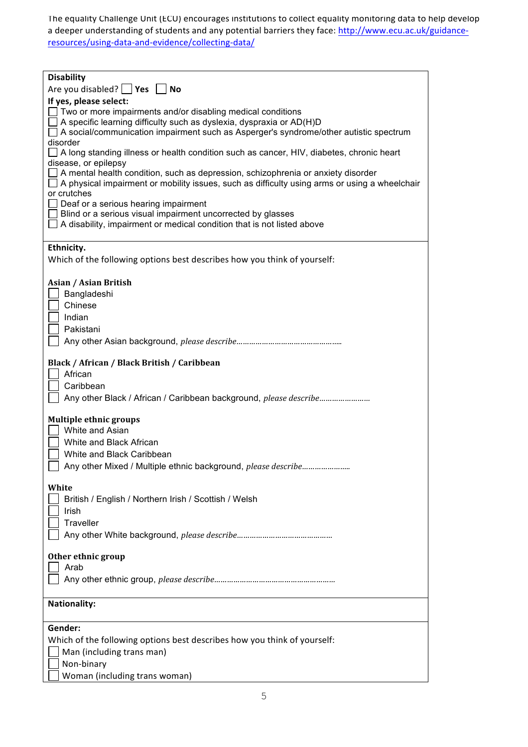The equality Challenge Unit (ECU) encourages institutions to collect equality monitoring data to help develop a deeper understanding of students and any potential barriers they face: http://www.ecu.ac.uk/guidanceresources/using-data-and-evidence/collecting-data/

| <b>Disability</b>                                                                                                                                                                                                                                                           |
|-----------------------------------------------------------------------------------------------------------------------------------------------------------------------------------------------------------------------------------------------------------------------------|
| Are you disabled? $ $ <b>Yes</b><br><b>No</b>                                                                                                                                                                                                                               |
| If yes, please select:<br>$\Box$ Two or more impairments and/or disabling medical conditions<br>$\Box$ A specific learning difficulty such as dyslexia, dyspraxia or AD(H)D<br>$\Box$ A social/communication impairment such as Asperger's syndrome/other autistic spectrum |
| disorder<br>$\Box$ A long standing illness or health condition such as cancer, HIV, diabetes, chronic heart<br>disease, or epilepsy<br>A mental health condition, such as depression, schizophrenia or anxiety disorder                                                     |
| $\Box$ A physical impairment or mobility issues, such as difficulty using arms or using a wheelchair<br>or crutches<br>$\Box$ Deaf or a serious hearing impairment                                                                                                          |
| $\Box$ Blind or a serious visual impairment uncorrected by glasses<br>$\Box$ A disability, impairment or medical condition that is not listed above                                                                                                                         |
| Ethnicity.                                                                                                                                                                                                                                                                  |
| Which of the following options best describes how you think of yourself:                                                                                                                                                                                                    |
| Asian / Asian British                                                                                                                                                                                                                                                       |
| Bangladeshi<br>Chinese                                                                                                                                                                                                                                                      |
| Indian                                                                                                                                                                                                                                                                      |
| Pakistani                                                                                                                                                                                                                                                                   |
|                                                                                                                                                                                                                                                                             |
| Black / African / Black British / Caribbean<br>African                                                                                                                                                                                                                      |
| Caribbean<br>Any other Black / African / Caribbean background, please describe                                                                                                                                                                                              |
| <b>Multiple ethnic groups</b>                                                                                                                                                                                                                                               |
| White and Asian<br>White and Black African                                                                                                                                                                                                                                  |
| White and Black Caribbean                                                                                                                                                                                                                                                   |
|                                                                                                                                                                                                                                                                             |
| White<br>British / English / Northern Irish / Scottish / Welsh                                                                                                                                                                                                              |
| Irish                                                                                                                                                                                                                                                                       |
| Traveller                                                                                                                                                                                                                                                                   |
|                                                                                                                                                                                                                                                                             |
| Other ethnic group                                                                                                                                                                                                                                                          |
| Arab                                                                                                                                                                                                                                                                        |
|                                                                                                                                                                                                                                                                             |
| <b>Nationality:</b>                                                                                                                                                                                                                                                         |
| Gender:                                                                                                                                                                                                                                                                     |
| Which of the following options best describes how you think of yourself:                                                                                                                                                                                                    |
| Man (including trans man)                                                                                                                                                                                                                                                   |
| Non-binary<br>Woman (including trans woman)                                                                                                                                                                                                                                 |
|                                                                                                                                                                                                                                                                             |